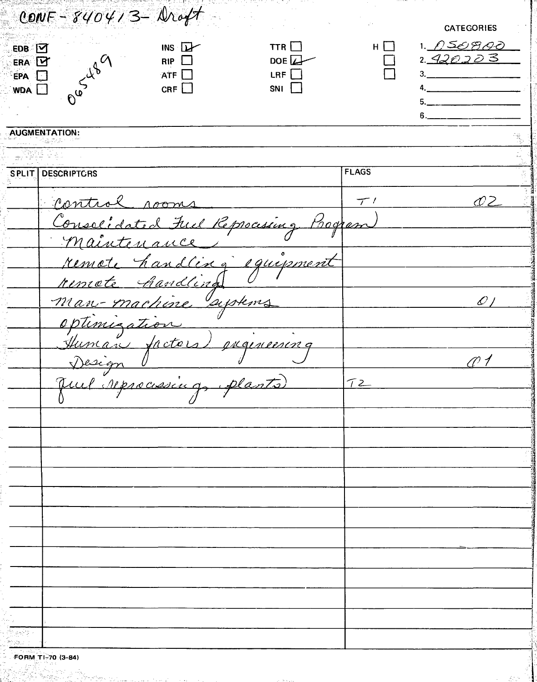| CONF - 840413 - Droft                        |                               |              |                       |
|----------------------------------------------|-------------------------------|--------------|-----------------------|
|                                              |                               |              | <b>CATEGORIES</b>     |
| INS<br>EDB M                                 | TTR $\Box$                    | $H \square$  | <u>1. /) SO G O O</u> |
| $RIP$ $\Box$<br>ERA D<br>nusyl89             | DOE $\downarrow$              |              | 2. <u>420203</u>      |
| <b>ATF</b> $\Box$<br>EPA <sup>1</sup><br>CRF | $LRF$ $\Box$<br>$SNI$ $\perp$ |              |                       |
| <b>WDA A</b>                                 |                               |              |                       |
|                                              |                               |              |                       |
| <b>AUGMENTATION:</b>                         |                               |              |                       |
|                                              |                               |              |                       |
| <b>SPLIT DESCRIPTORS</b>                     |                               | <b>FLAGS</b> |                       |
|                                              |                               |              |                       |
| Control rooms                                |                               | 7'           | 02 N                  |
| Consolidated Ful Reprocessing Program        |                               |              |                       |
| maintenance                                  |                               |              |                       |
| remote handling equipment                    |                               |              |                       |
| remate handling                              |                               |              |                       |
| man-machine systems                          |                               |              | $\mathscr{O}$         |
|                                              |                               |              |                       |
|                                              |                               |              |                       |
| optimization " (1)                           |                               |              |                       |
| Design                                       |                               |              |                       |
| Juil reprocessing plants                     |                               | 72           |                       |
|                                              |                               |              |                       |
|                                              |                               |              |                       |
|                                              |                               |              |                       |
|                                              |                               |              |                       |
|                                              |                               |              |                       |
|                                              |                               |              |                       |
|                                              |                               |              |                       |
|                                              |                               |              |                       |
|                                              |                               |              |                       |
|                                              |                               |              |                       |
|                                              |                               |              |                       |
|                                              |                               |              |                       |
|                                              |                               |              |                       |
|                                              |                               |              |                       |
| 한고요<br>CARLL TI 30 M GL                      |                               |              |                       |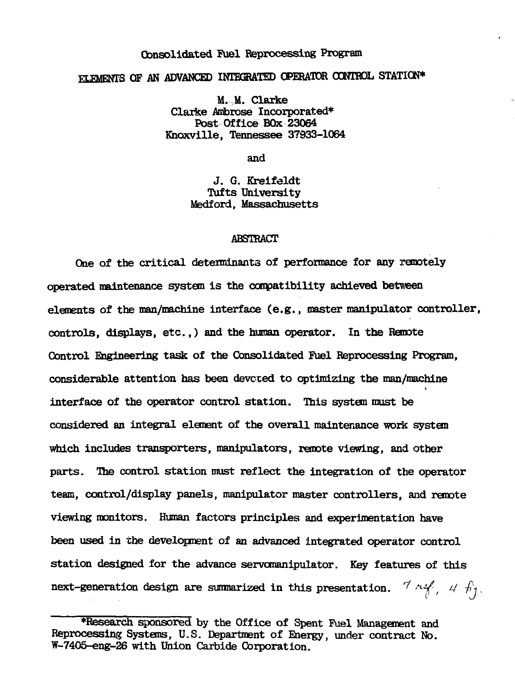# Consolidated Fuel Reprocessing Program ELEMENTS OF AN ADVANCED INTEGRATED OPERATOR CONTROL STATION\*

M. M. Clarke Clarke Ambrose Incorporated\* Post Office BOx 23064 Knoxville, Tennessee 37933-1064

and

J. G. Kreifeldt Tufts University Medford, Massachusetts

#### ABSTRACT

One of the critical determinants of performance for any remotely operated maintenance system is the compatibility achieved between elements of the man/machine interface (e.g., master manipulator controller, controls, displays, etc.,) and the human operator. In the Remote Control Engineering task of the Consolidated Fuel Reprocessing Program, considerable attention has been devoted to optimizing the man/machine interface of the operator control station. This system must be considered an integral element of the overall maintenance work system which includes transporters, manipulators, remote viewing, and other parts. The control station must reflect the integration of the operator team, control/display panels, manipulator master controllers, and remote viewing monitors. Human factors principles and experimentation have been used in the development of an advanced integrated operator control station designed for the advance servomanipulator. Key features of this next-generation design are summarized in this presentation.  $\frac{7}{4}$   $\frac{14}{9}$ ,  $\frac{4}{11}$ ,

<sup>•</sup>Research sponsored by the Office of Spent Fuel Management and Reprocessing Systems, U.S. Department of Energy, under contract No. W-7405-eng-26 with Union Carbide Corporation.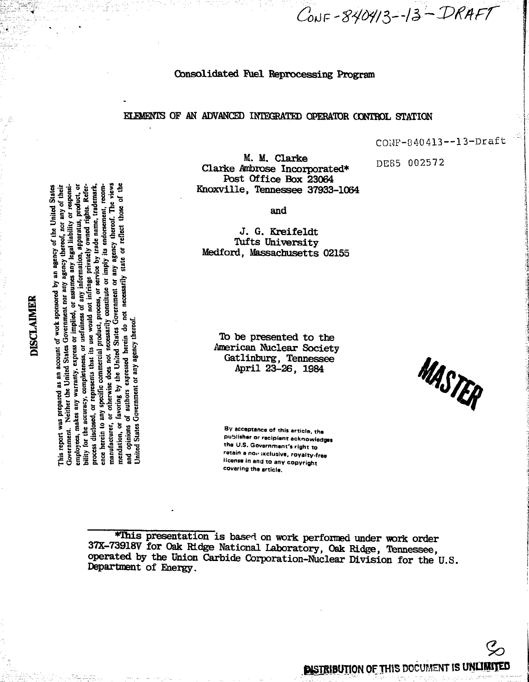# Consolidated Fuel Reprocessing Program

# ELEMENTS OF AN ADVANCED INTEGRATED OPERATOR CONTROL STATION

CONF-840413--13-Draft

DE85 002572

M. M. Clarke Clarke Ambrose Incorporated\* Post Office Box 23064 Knoxville, Tennessee 37933-1064

and

J. G. Kreifeldt Tufts University Medford, Massachusetts 02155

To be presented to the American Nuclear Society Gatlinburg, Tennessee<br>April 23-26, 1984

By acceptance of this article, the publisher or recipient acknowledges the U.S. Government's right to retain a non ixclusive, royalty-free license in and to any copyright covering the article.

\*This presentation is based on work performed under work order 37X-73918V for Oak Ridge National Laboratory, Oak Ridge, Tennessee, operated by the Union Carbide Corporation-Nuclear Division for the U.S. Department of Energy.

# **DISCLAIMER**

completeness, or usefulness of any information, apparatus, product, or was prepared as an account of work sponsored by an agency of the United States Government. Neither the United States Government nor any agency thereof, nor any of their or assumes any legal liability or responsiowned rights. Referor service by trade name, trademark, its endorsement, recomany agency thereof. The views or reflect those its use would not infringe private. state or imply necessarily  $\overline{5}$ favoring by the United States Government constitute makes any warranty, express or implied, expressed herein do not not necessarily Jnited States Government or any agency thereof ence herein to any specific commercial product, process disclosed, or represents that manufacturer, or otherwise authors bility for the accuracy, mendation, or opinions employees, Ĕ

**PISTRIBUTION OF THIS DOCUMENT IS UNLIMITED** 

MASTER

CONF-840413-13-DRAFT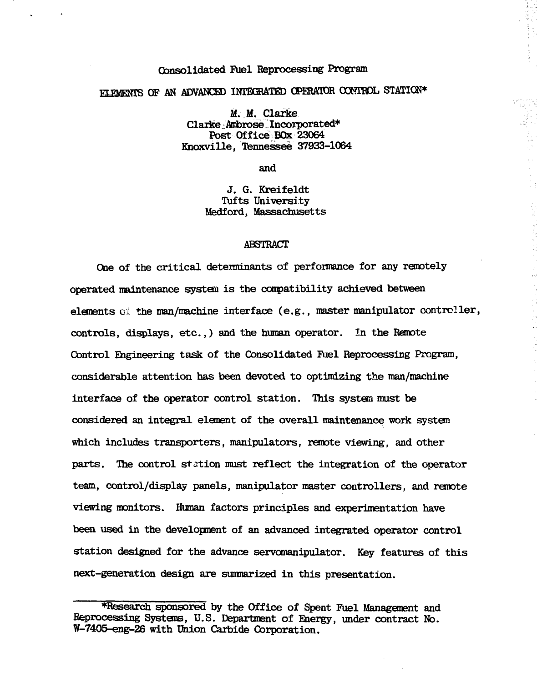# Consolidated Fuel Reprocessing Program

# ELEMENTS OF AN ADVANCED INTEGRATED OPERATOR CONTROL STATION\*

M. M. Clarke Clarke Ambrose Incorporated\* Post Office BOx 23064 Khoxville, Tennessee 37933-1064

and

J. G. Kreifeldt Tufts University Medford, Massachusetts

#### ABSTRACT

One of the critical determinants of performance for any remotely operated maintenance system is the compatibility achieved between elements of the man/machine interface (e.g., master manipulator controller, controls, displays, etc.,) and the human operator. In the Remote Control Engineering task of the Consolidated Fuel Reprocessing Program, considerable attention has been devoted to optimizing the man/machine interface of the operator control station. This system must be considered an integral element of the overall maintenance work system which includes transporters, manipulators, remote viewing, and other parts. The control station must reflect the integration of the operator team, control/display panels, manipulator master controllers, and remote viewing monitors. Human factors principles and experimentation have been used in the development of an advanced integrated operator control station designed for the advance servomanipulator. Key features of this next-generation design are summarized in this presentation.

<sup>•</sup>Research sponsored by the Office of Spent Fuel Management and Reprocessing Systems, U.S. Department of Energy, under contract No. W-7405-eng-26 with Union Carbide Corporation.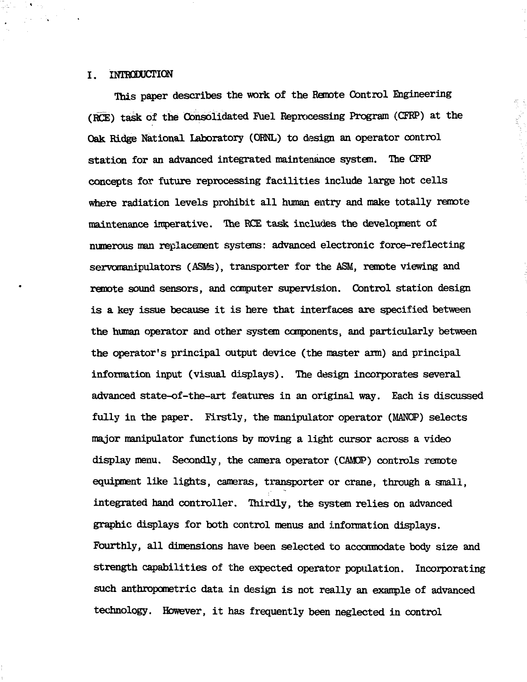# I. INTRODUCTION

This paper describes the work of the Remote Control Engineering (ROE) task of the Consolidated Fuel Reprocessing Program (CFRP) at the Oak Ridge National Laboratory (ORNL) to design an operator control station for an advanced integrated maintenance system. The CFRP concepts for future reprocessing facilities include large hot cells where radiation levels prohibit all human entry and make totally remote maintenance imperative. The RCE task includes the development of numerous man replacement systems: advanced electronic force-reflecting servomanipulators (ASMs), transporter for the ASM, remote viewing and remote sound sensors, and computer supervision. Control station design is a key issue because it is here that interfaces are specified between the human operator and other system components, and particularly between the operator's principal output device (the master arm) and principal information input (visual displays). The design incorporates several advanced state-of-the-art features in an original way. Each is discussed fully in the paper. Firstly, the manipulator operator (MANOP) selects major manipulator functions by moving a light cursor across a video display menu. Secondly, the camera operator (CAMQP) controls remote equipment like lights, cameras, transporter or crane, through a small, integrated hand controller. Thirdly, the system relies on advanced graphic displays for both control menus and information displays. Fourthly, all dimensions have been selected to accommodate body size and strength capabilities of the expected operator population. Incorporating such anthropometric data in design is not really an example of advanced technology. However, it has frequently been neglected in control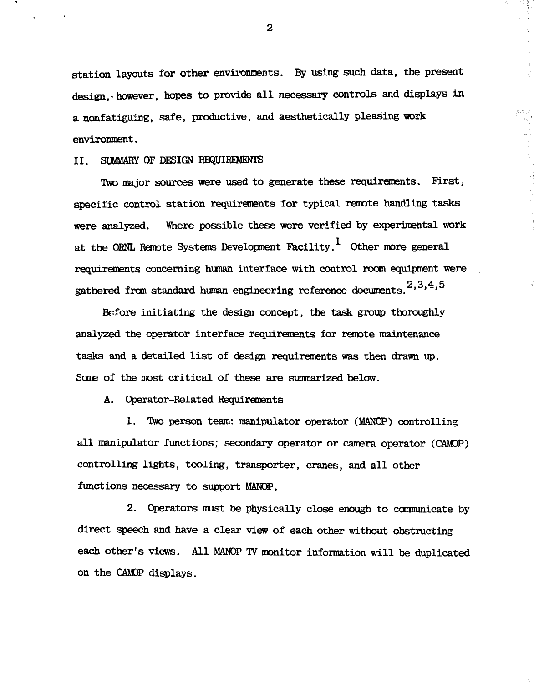station layouts for other environments. By using such data, the present design,-however, hopes to provide all necessary controls and displays in a nonfatiguing, safe, productive, and aesthetically pleasing work environment.

# II. SUMMARY OF DESIGN REQUIREMENTS

Two major sources were used to generate these requirements. First, specific control station requirements for typical remote handling tasks were analyzed. Where possible these were verified by experimental work at the ORNL Remote Systems Development Facility.<sup>1</sup> Other more general requirements concerning human interface with control room equipment were gathered from standard human engineering reference documents.  $2,3,4,5$ 

Before initiating the design concept, the task group thoroughly analyzed the operator interface requirements for remote maintenance tasks and a detailed list of design requirements was then drawn up. Some of the most critical of these are sumnarized below.

A. Operator-Related Requirements

1. Two person team: manipulator operator (MANGP) controlling all manipulator functions; secondary operator or camera operator (CAMOP) controlling lights, tooling, transporter, cranes, and all other functions necessary to support MANOP.

2. Operators must be physically close enough to cannunicate by direct speech and have a clear view of each other without obstructing each other's views. All MAKOP TV monitor information will be duplicated on the CAMOP displays.

 $\mathbf{2}$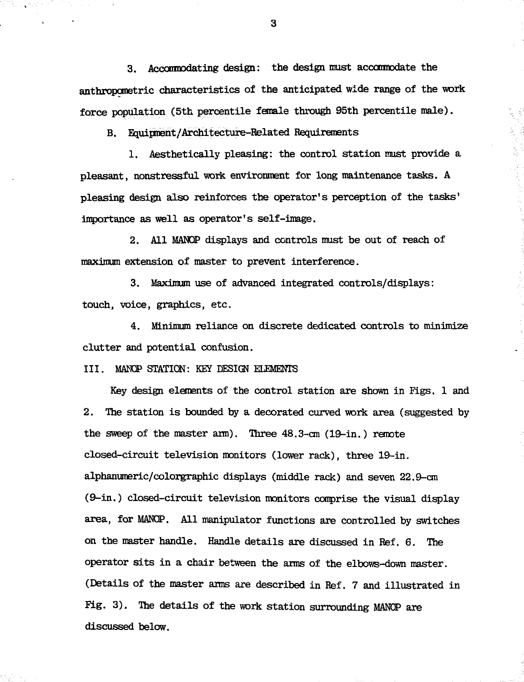3. Acconnodating design: the design must acccranodate the anthropcmetric characteristics of the anticipated wide range of the work force population (5th percentile female through 95th percentile male).

B. Equipment/Architecture-Related Requirements

1. Aesthetically pleasing: the control station must provide a pleasant, nonstressful work environment for long maintenance tasks. A pleasing design also reinforces the operator's perception of the tasks' importance as well as operator's self-image.

2. All MANQP displays and controls must be out of reach of maximum extension of master to prevent interference.

3. Maximum use of advanced integrated controls/displays: touch, voice, graphics, etc.

4. Minimum reliance on discrete dedicated controls to minimize clutter and potential confusion.

III. MAMP STATICN: KEY DESIGN ELEMENTS

Key design elements of the control station are shown in Figs. 1 and 2. The station is bounded by a decorated curved work area (suggested by the sweep of the master arm). Three  $48.3$ -cm  $(19$ -in.) remote closed-circuit television monitors (lower rack), three 19-in. alphanumeric/colorgraphic displays (middle rack) and seven 22.9-on (9-in.) closed-circuit television monitors comprise the visual display area, for MANCP. All manipulator functions are controlled by switches on the master handle. Handle details are discussed in Ref. 6. The operator sits in a chair between the arms of the elbows-down master. (Details of the master arms are described in Ref. 7 and illustrated in Fig. 3). The details of the work station surrounding MANCP are discussed below.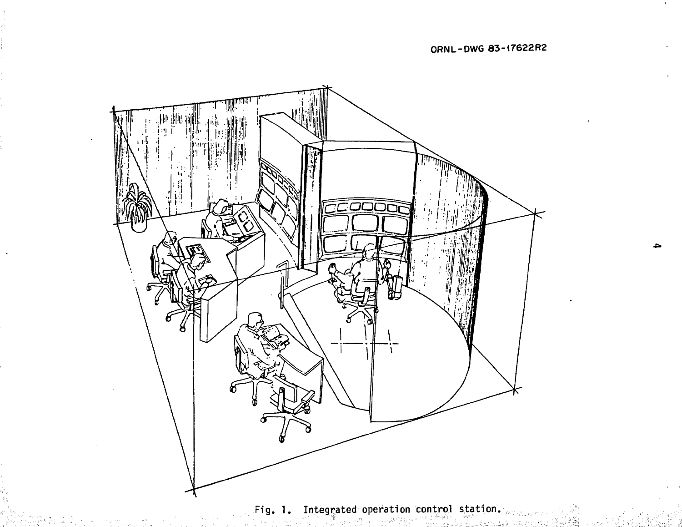

(Dalga)

 $\mathbf{L}$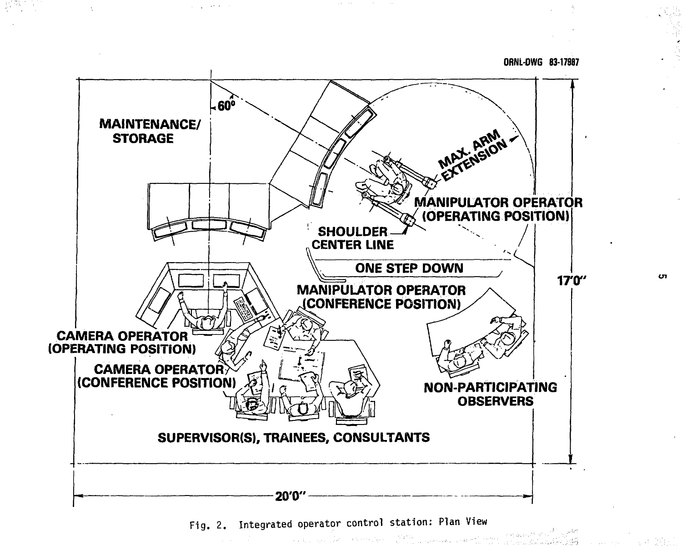**ORPJL-OWG 83-17987**

 $\mathcal{L}(\alpha_1^1,\varphi_1^1;\cdots;\varphi_1^{N,k})\gamma_1^{N,k}\in\mathbb{R}$ 



 $\Delta$  of the contract  $\Delta$  , and  $\Delta$ 

 $\mathcal{A}=\mathcal{A}^{\dagger}$  , where  $\mathcal{A}^{\dagger}$ 

[정책] 201

 $\mathcal{L}^{\text{max}}_{\text{max}}$  and  $\mathcal{L}^{\text{max}}_{\text{max}}$ 

Fig. 2. Integrated operator control station: Plan View

a sa mga bandang natitira ng pagkalang ng kalawang ng pagkalang ng pagkalang ng pagkalang ng mga pagkalang ng<br>Taong nagalang ng pagkalang ng pagkalang ng pagkalang ng pagkalang ng pagkalang ng pagkalang ng pagkalang ng p

CΠ.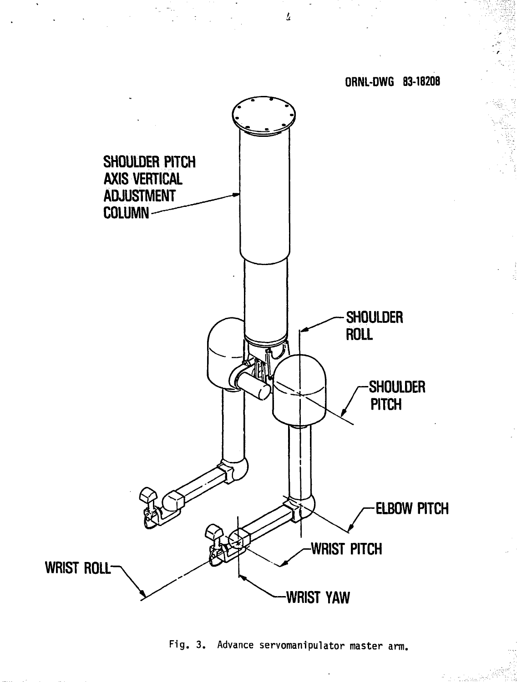

Fig. 3. Advance servomanipulator master arm.

 $\overline{L}$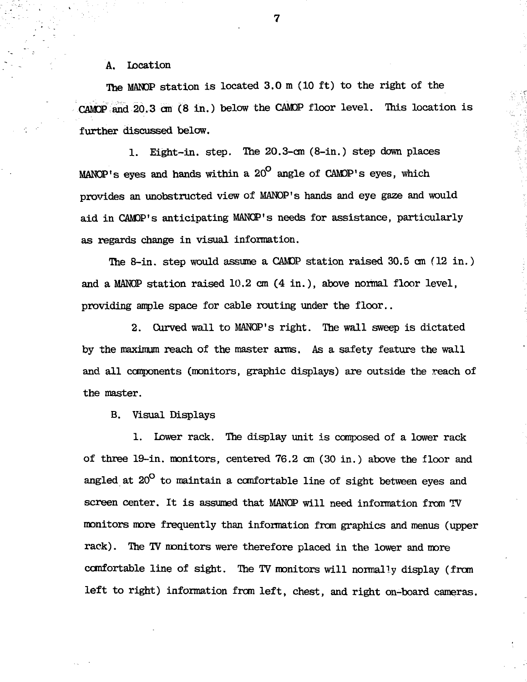A. Location

The MANDP station is located 3.0 m (10 ft) to the right of the CAMQP and 20.3 cm (8 in.) below the GAMP floor level. This location is further discussed below.

1. Eight-in. step. The 20.3-cm (8-in.) step down places MANOP's eyes and hands within a 20<sup>°</sup> angle of CAMOP's eyes, which provides an unobstructed view of MANOP's hands and eye gaze and would aid in CAMDP's anticipating MANOP's needs for assistance, particularly as regards change in visual information.

The 8-in. step would assume a CAMDP station raised 30.5 cm (12 in.) and a MAMP station raised 10.2 cm (4 in.), above normal floor level, providing ample space for cable routing under the floor..

2. Curved wall to MANQP's right. The wall sweep is dictated by the maximum reach of the master arms. As a safety feature the wall and all components (monitors, graphic displays) are outside the reach of the master.

B. Visual Displays

1. Lower rack. The display unit is composed of a lower rack of three 19-in. monitors, centered 76.2 cm (30 in.) above the floor and angled at  $20^{\circ}$  to maintain a comfortable line of sight between eyes and screen center. It is assumed that MANQP will need information from TV monitors more frequently than information from graphics and menus (upper rack). The TV monitors were therefore placed in the lower and more comfortable line of sight. The TV monitors will normally display (from left to right) information from left, chest, and right on-board cameras.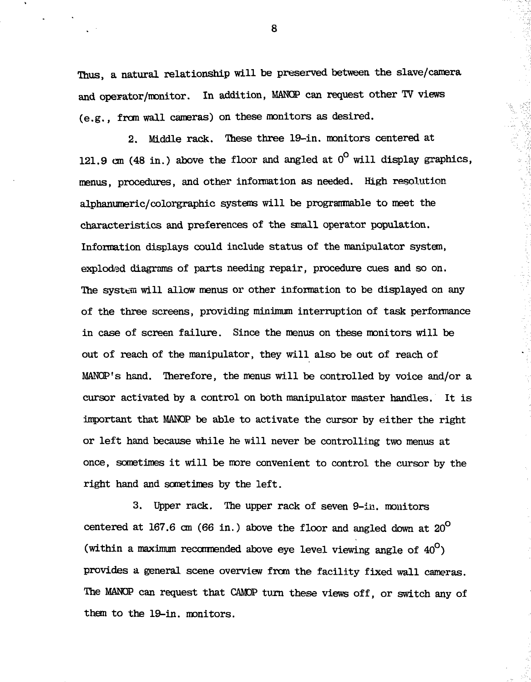Thus, a natural relationship will be preserved between the slave/camera and operator/monitor. In addition, MANQP can request other TV views (e.g., from wall cameras) on these monitors as desired.

2. Middle rack. Ihese three 19-in. monitors centered at 121.9 cm (48 in.) above the floor and angled at  $0^{\circ}$  will display graphics, menus, procedures, and other information as needed. High resolution alphanumeric/colorgraphic systems will be programmble to meet the characteristics and preferences of the small operator population. Information displays could include status of the manipulator system, exploded diagrams of parts needing repair, procedure cues and so on. The system will allow menus or other information to be displayed on any of the three screens, providing minimum interruption of task performance in case of screen failure. Since the menus on these monitors will be out of reach of the manipulator, they will also be out of reach of MANQP's hand. Therefore, the menus will be controlled by voice and/or a cursor activated by a control on both manipulator master handles. It is important that MANOP be able to activate the cursor by either the right or left hand because while he will never be controlling two menus at once, sometimes it will be more convenient to control the cursor by the right hand and sometimes by the left.

3. Upper rack. The upper rack of seven 9-in. monitors centered at 167.6 cm (66 in.) above the floor and angled down at  $20^{\circ}$ (within a maximum recommended above eye level viewing angle of  $40^{\circ}$ ) provides a general scene overview from the facility fixed wall cameras. The MANOP can request that CAMOP turn these views off, or switch any of them to the 19-in. monitors.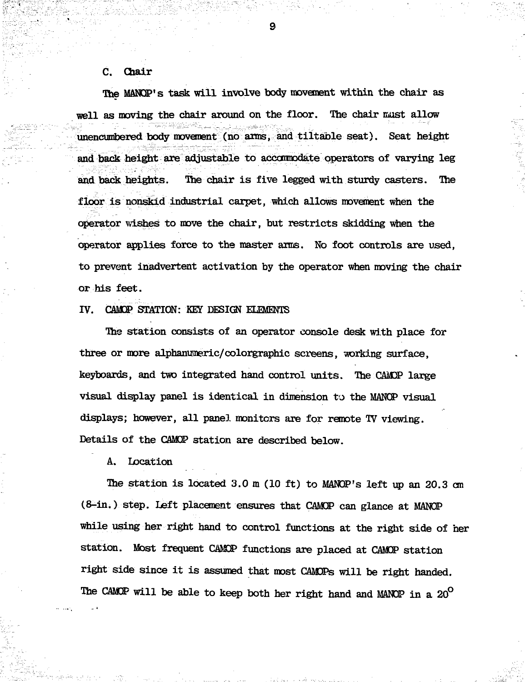# C. Chair

The MANOP's task will involve body movement within the chair as well as moving the chair around on the floor. The chair must allow unencumbered body movement (no arms, and tiltable seat). Seat height and back height are adjustable to accommodate operators of varying leg and back heights. The chair is five legged with sturdy casters. The floor is nonskld industrial carpet, which allows movement when the operator wishes to move the chair, but restricts skidding when the operator applies force to the master arms. No foot controls are used, to prevent inadvertent activation by the operator when moving the chair or his feet.

# IV. CAMOP STATION: KEY DESIGN ELEMENTS

The station consists of an operator console desk with place for three or more alphanumeric/colorgraphic screens, working surface, keyboards, and two integrated hand control units. The CAMOP large visual display panel is identical in dimension to the MANCP visual displays; however, all panel monitors are for remote TV viewing. Details of the CAMCP station are described below.

A. Location

The station is located 3.0 m (10 ft) to MANOP's left up an 20.3 cm (8-in.) step. Left placement ensures that CAMCP can glance at MANCP while using her right hand to control functions at the right side of her station. Most frequent CAMCP functions are placed at CAMCP station right side since it is assumed that most CAMDPs will be right handed. The CAMOP will be able to keep both her right hand and MANOP in a 20<sup>°</sup>

O,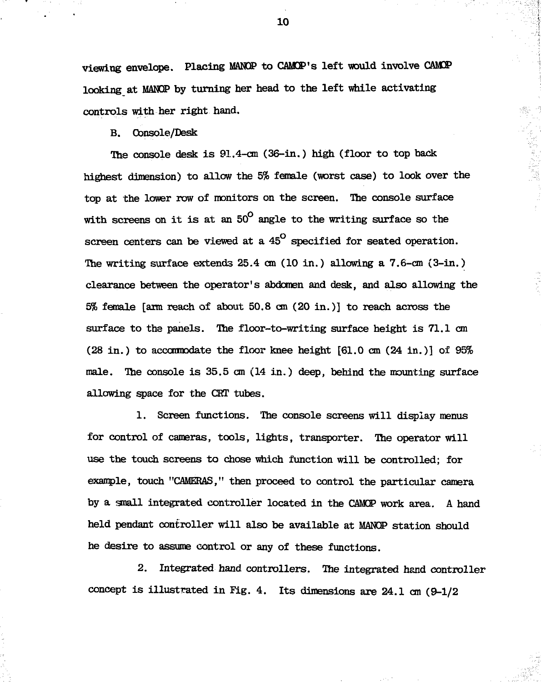viewing envelope. Placing MANQP to CAMP's left would involve CAMCP looking at MANCP by turning her head to the left while activating controls with her right hand.

B. Console/Desk

The console desk is 91.4-cm (36-in.) high (floor to top back highest dimension) to allow the 5% female (worst case) to look over the top at the lower row of monitors on the screen. The console surface with screens on it is at an  $50^{\circ}$  angle to the writing surface so the screen centers can be viewed at a  $45^\circ$  specified for seated operation. The writing surface extends 25.4 cm (10 in.) allowing a 7.6-cm (3-in.) clearance between the operator's abdomen and desk, and also allowing the 5% female [arm reach of about 50.8 cm (20 in.)] to reach across the surface to the panels. Ihe floor-to-writing surface height is 71.1 cm (28 in.) to accommodate the floor knee height [61.0 cm (24 in.)] of 95% male. The console is 35.5 cm (14 in.) deep, behind the mounting surface allowing space for the CBT tubes.

1. Screen functions. The console screens will display menus for control of cameras, tools, lights, transporter. The operator will use the touch screens to chose which function will be controlled; for example, touch "CAMERAS," then proceed to control the particular camera by a snail integrated controller located in the CAMCP work area. A hand held pendant controller will also be available at MANCP station should he desire to assume control or any of these functions.

2. Integrated hand controllers. The integrated hand controller concept is illustrated in Fig. 4. Its dimensions are 24.1 cm (9-1/2

10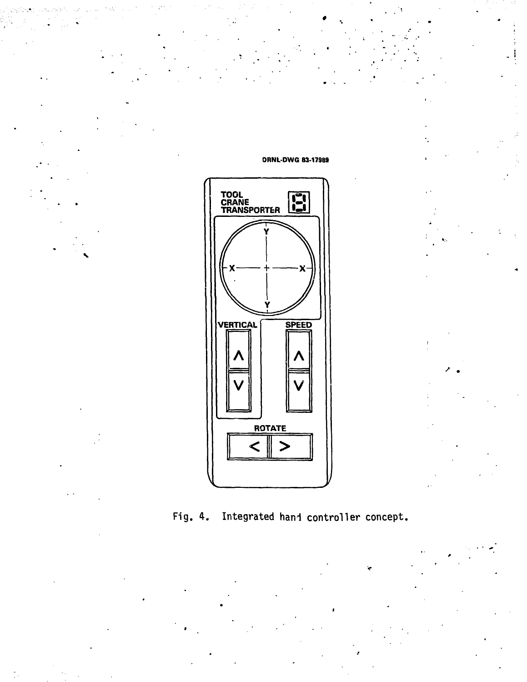

**ORNL-DWG 83-17989** 

Integrated hand controller concept. Fig.  $4.$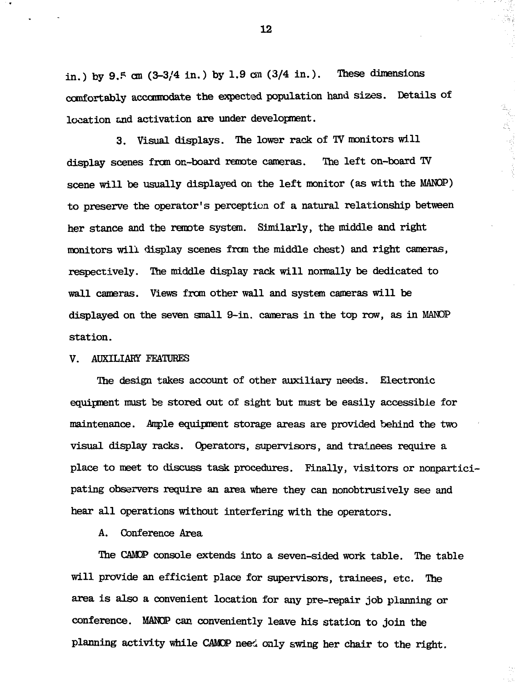in.) by 9.5 cm  $(3-3/4)$  in.) by 1.9 cm  $(3/4)$  in.). These dimensions comfortably acccnnodate the expected population hand sizes. Details of location and activation are under development.

3. Visual displays. The lower rack of TV monitors will display scenes from on-board remote cameras. The left on-boaxd TV scene will be usually displayed on the left monitor (as with the MANQP) to preserve the operator's perception of a natural relationship between her stance and the remote system. Similarly, the middle and right monitors will display scenes from the middle chest) and right cameras, respectively. The middle display rack will normally be dedicated to wall cameras. Views from other wall and system cameras will be displayed on the seven small 9-in. cameras in the top row, as in MANDP station.

### V. AUXILIARY FEATURES

The design takes account of other auxiliary needs. Electronic equipment must be stored out of sight but must be easily accessible for maintenance. Ample equipment storage areas are provided behind the two visual display racks. Operators, supervisors, and trainees require a place to meet to discuss task procedures. Finally, visitors or nonparticipating observers require an area where they can nonobtrusively see and hear all operations without interfering with the operators.

# A. Conference Area

The CAMCP console extends into a seven-sided work table. The table will provide an efficient place for supervisors, trainees, etc. The area is also a convenient location for any pre-repair job planning or conference. MANOP can conveniently leave his station to join the planning activity while CAMOP need only swing her chair to the right.

12

ia)<br>La p

ti<br>R  $\frac{1}{\hbar\Delta_{\rm g}}$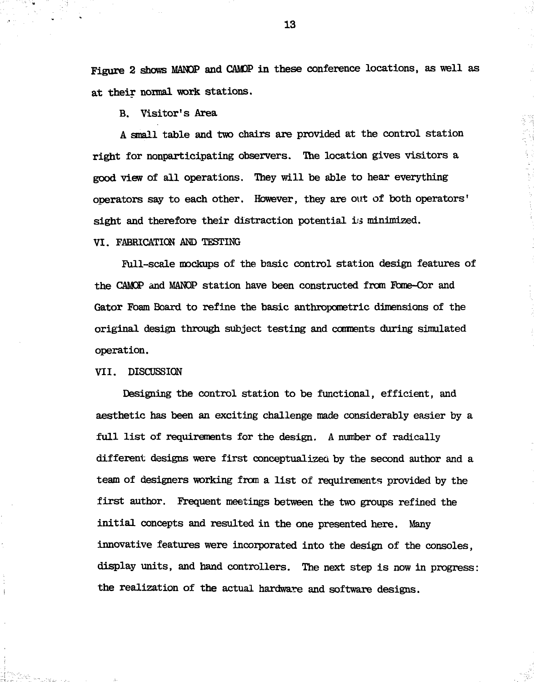Figure 2 shows MANQP and CAMOP in these conference locations, as well as at their normal work stations.

B. Visitor's Area

A small table and two chairs are provided at the control station right for nonparticipating observers. The location gives visitors a good view of all operations. They will be able to hear everything operators say to each other. However, they are out of both operators' sight and therefore their distraction potential is minimized.

# VI. FABRICATION AND TESTING

Full-scale mockups of the basic control station design features of the CAMCP and MANQP station have been constructed from Fome-Cor and Gator Foam Board to refine the basic anthropometric dimensions of the original design through subject testing and conments during simulated operation.

VII. DISCUSSION

an<br>San Baranga

Designing the control station to be functional, efficient, and aesthetic has been an exciting challenge made considerably easier by a full list of requirements for the design. A number of radically different designs were first conceptualized by the second author and a team of designers working from a list of requirements provided by the first author. Frequent meetings between the two groups refined the initial concepts and resulted in the one presented here. Many innovative features were incorporated into the design of the consoles, display units, and hand controllers. The next step is now in progress: the realization of the actual hardware and software designs.